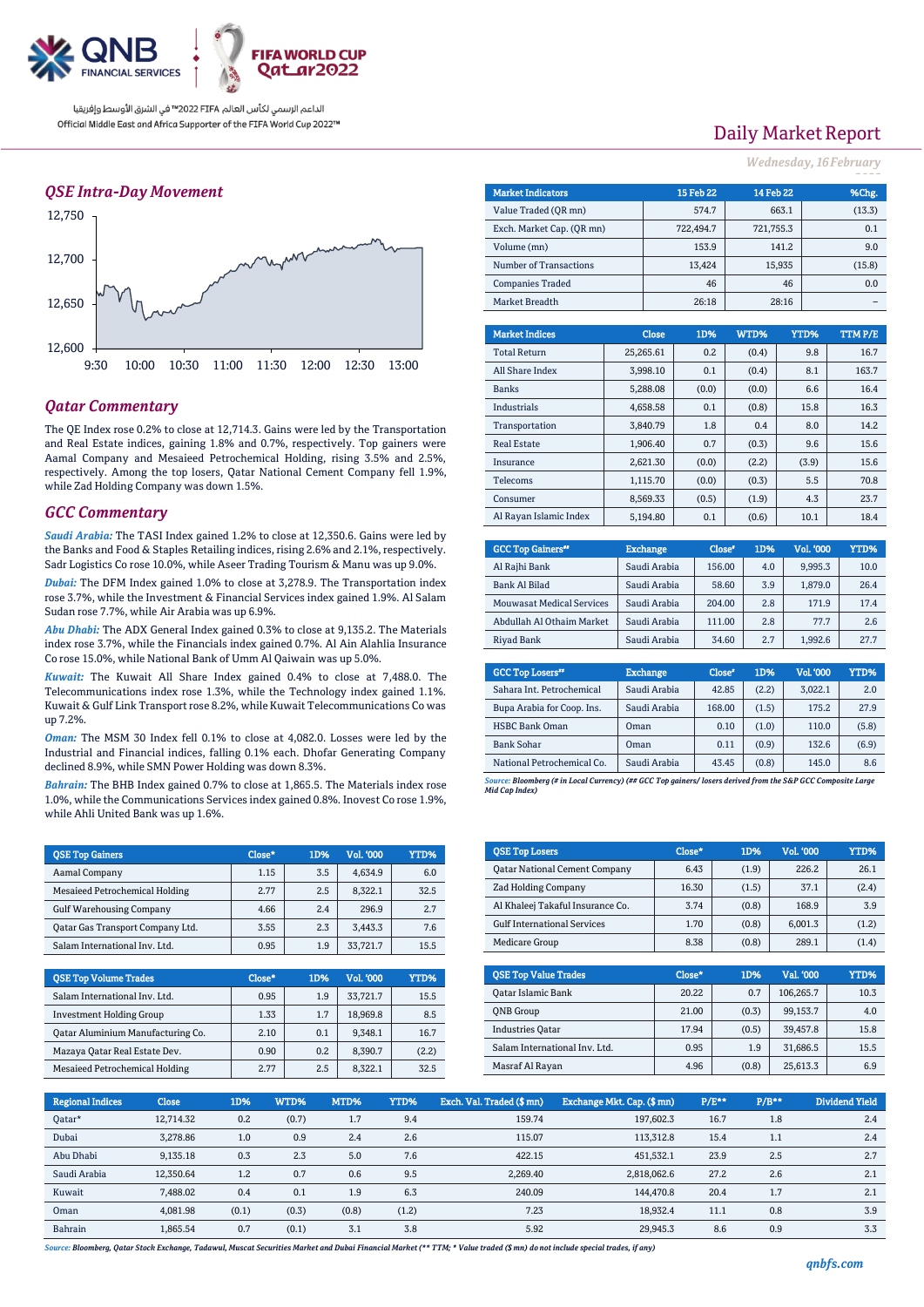

### *QSE Intra-Day Movement*



### *Qatar Commentary*

The QE Index rose 0.2% to close at 12,714.3. Gains were led by the Transportation and Real Estate indices, gaining 1.8% and 0.7%, respectively. Top gainers were Aamal Company and Mesaieed Petrochemical Holding, rising 3.5% and 2.5%, respectively. Among the top losers, Qatar National Cement Company fell 1.9%, while Zad Holding Company was down 1.5%.

#### *GCC Commentary*

*Saudi Arabia:* The TASI Index gained 1.2% to close at 12,350.6. Gains were led by the Banks and Food & Staples Retailing indices, rising 2.6% and 2.1%, respectively. Sadr Logistics Co rose 10.0%, while Aseer Trading Tourism & Manu was up 9.0%.

*Dubai:* The DFM Index gained 1.0% to close at 3,278.9. The Transportation index rose 3.7%, while the Investment & Financial Services index gained 1.9%. Al Salam Sudan rose 7.7%, while Air Arabia was up 6.9%.

*Abu Dhabi:* The ADX General Index gained 0.3% to close at 9,135.2. The Materials index rose 3.7%, while the Financials index gained 0.7%. Al Ain Alahlia Insurance Co rose 15.0%, while National Bank of Umm Al Qaiwain was up 5.0%.

*Kuwait:* The Kuwait All Share Index gained 0.4% to close at 7,488.0. The Telecommunications index rose 1.3%, while the Technology index gained 1.1%. Kuwait & Gulf Link Transport rose 8.2%, while Kuwait Telecommunications Co was up 7.2%.

*Oman:* The MSM 30 Index fell 0.1% to close at 4,082.0. Losses were led by the Industrial and Financial indices, falling 0.1% each. Dhofar Generating Company declined 8.9%, while SMN Power Holding was down 8.3%.

*Bahrain:* The BHB Index gained 0.7% to close at 1,865.5. The Materials index rose 1.0%, while the Communications Services index gained 0.8%. Inovest Co rose 1.9%, while Ahli United Bank was up 1.6%.

| <b>QSE Top Gainers</b>           | Close* | 1D% | Vol. '000 | YTD% |
|----------------------------------|--------|-----|-----------|------|
| Aamal Company                    | 1.15   | 3.5 | 4.634.9   | 6.0  |
| Mesaieed Petrochemical Holding   | 2.77   | 2.5 | 8.322.1   | 32.5 |
| <b>Gulf Warehousing Company</b>  | 4.66   | 2.4 | 296.9     | 2.7  |
| Qatar Gas Transport Company Ltd. | 3.55   | 2.3 | 3.443.3   | 7.6  |
| Salam International Inv. Ltd.    | 0.95   | 1.9 | 33,721.7  | 15.5 |

| <b>QSE Top Volume Trades</b>             | Close* | 1D% | <b>Vol. '000</b> | YTD%  |
|------------------------------------------|--------|-----|------------------|-------|
| Salam International Inv. Ltd.            | 0.95   | 1.9 | 33.721.7         | 15.5  |
| <b>Investment Holding Group</b>          | 1.33   | 1.7 | 18,969.8         | 8.5   |
| <b>Qatar Aluminium Manufacturing Co.</b> | 2.10   | 0.1 | 9.348.1          | 16.7  |
| Mazaya Qatar Real Estate Dev.            | 0.90   | 0.2 | 8.390.7          | (2.2) |
| Mesaieed Petrochemical Holding           | 2.77   | 2.5 | 8.322.1          | 32.5  |

# Daily Market Report

*Wednesday, 16February*

| <b>Market Indicators</b>  |          |              | <b>15 Feb 22</b> | <b>14 Feb 22</b> |        | %Chg.   |
|---------------------------|----------|--------------|------------------|------------------|--------|---------|
| Value Traded (OR mn)      |          | 574.7        |                  | 663.1            | (13.3) |         |
| Exch. Market Cap. (QR mn) |          |              | 722,494.7        | 721,755.3        |        | 0.1     |
| Volume (mn)               |          |              | 153.9            |                  | 141.2  | 9.0     |
| Number of Transactions    |          |              | 13,424           |                  | 15,935 | (15.8)  |
| <b>Companies Traded</b>   |          |              | 46               |                  | 46     | 0.0     |
| Market Breadth            |          |              |                  |                  | 28:16  |         |
|                           |          |              |                  |                  |        |         |
| <b>Market Indices</b>     |          | <b>Close</b> | 1D%              | WTD%             | YTD%   | TTM P/E |
| <b>Total Return</b>       |          | 25,265.61    | 0.2              | (0.4)            | 9.8    | 16.7    |
| All Share Index           |          | 3,998.10     | 0.1              | (0.4)            | 8.1    | 163.7   |
| <b>Banks</b>              |          | 5,288.08     | (0.0)            | (0.0)            | 6.6    | 16.4    |
| Industrials               |          | 4,658.58     | 0.1              | (0.8)            | 15.8   | 16.3    |
| Transportation            |          | 3,840.79     | 1.8              | 0.4              | 8.0    | 14.2    |
| <b>Real Estate</b>        |          | 1,906.40     | 0.7              | (0.3)            | 9.6    | 15.6    |
| Insurance                 |          | 2,621.30     | (0.0)            | (2.2)            | (3.9)  | 15.6    |
| Telecoms                  | 1,115.70 |              | (0.0)            | (0.3)            | 5.5    | 70.8    |

| <b>GCC Top Gainers</b> <sup>#</sup> | <b>Exchange</b> | Close* | 1D% | Vol. '000 | YTD% |
|-------------------------------------|-----------------|--------|-----|-----------|------|
|                                     |                 |        |     |           |      |
| Al Rajhi Bank                       | Saudi Arabia    | 156.00 | 4.0 | 9.995.3   | 10.0 |
| Bank Al Bilad                       | Saudi Arabia    | 58.60  | 3.9 | 1.879.0   | 26.4 |
| <b>Mouwasat Medical Services</b>    | Saudi Arabia    | 204.00 | 2.8 | 171.9     | 17.4 |
| Abdullah Al Othaim Market           | Saudi Arabia    | 111.00 | 2.8 | 77.7      | 2.6  |
| Riyad Bank                          | Saudi Arabia    | 34.60  | 2.7 | 1.992.6   | 27.7 |

Consumer 1 8,569.33 (0.5) (1.9) 4.3 23.7 Al Rayan Islamic Index | 5,194.80 0.1 (0.6) 10.1 18.4

| <b>GCC Top Losers</b> "    | <b>Exchange</b> | Close <sup>®</sup> | 1D%   | <b>Vol.'000</b> | <b>YTD%</b> |
|----------------------------|-----------------|--------------------|-------|-----------------|-------------|
| Sahara Int. Petrochemical  | Saudi Arabia    | 42.85              | (2.2) | 3,022.1         | 2.0         |
| Bupa Arabia for Coop. Ins. | Saudi Arabia    | 168.00             | (1.5) | 175.2           | 27.9        |
| <b>HSBC Bank Oman</b>      | Oman            | 0.10               | (1.0) | 110.0           | (5.8)       |
| <b>Bank Sohar</b>          | Oman            | 0.11               | (0.9) | 132.6           | (6.9)       |
| National Petrochemical Co. | Saudi Arabia    | 43.45              | (0.8) | 145.0           | 8.6         |

*Source: Bloomberg (# in Local Currency) (## GCC Top gainers/ losers derived from the S&P GCC Composite Large Mid Cap Index)*

| <b>QSE Top Losers</b>                | Close* | 1D%   | <b>Vol. '000</b> | <b>YTD%</b> |
|--------------------------------------|--------|-------|------------------|-------------|
| <b>Qatar National Cement Company</b> | 6.43   | (1.9) | 226.2            | 26.1        |
| Zad Holding Company                  | 16.30  | (1.5) | 37.1             | (2.4)       |
| Al Khaleej Takaful Insurance Co.     | 3.74   | (0.8) | 168.9            | 3.9         |
| <b>Gulf International Services</b>   | 1.70   | (0.8) | 6.001.3          | (1.2)       |
| Medicare Group                       | 8.38   | (0.8) | 289.1            | (1.4)       |

| <b>OSE Top Value Trades</b>   | Close* | 1D%   | Val. '000 | YTD% |
|-------------------------------|--------|-------|-----------|------|
| <b>Oatar Islamic Bank</b>     | 20.22  | 0.7   | 106,265.7 | 10.3 |
| <b>ONB</b> Group              | 21.00  | (0.3) | 99.153.7  | 4.0  |
| <b>Industries Oatar</b>       | 17.94  | (0.5) | 39.457.8  | 15.8 |
| Salam International Inv. Ltd. | 0.95   | 1.9   | 31.686.5  | 15.5 |
| Masraf Al Rayan               | 4.96   | (0.8) | 25.613.3  | 6.9  |

| <b>Regional Indices</b> | <b>Close</b> | 1D%   | WTD%  | MTD%  | YTD%  | Exch. Val. Traded (\$mn) | Exchange Mkt. Cap. (\$mn) | P/E** | $P/B***$ | Dividend Yield |
|-------------------------|--------------|-------|-------|-------|-------|--------------------------|---------------------------|-------|----------|----------------|
| Oatar*                  | 12.714.32    | 0.2   | (0.7) | 1.7   | 9.4   | 159.74                   | 197.602.3                 | 16.7  | 1.8      | 2.4            |
| Dubai                   | 3.278.86     | 1.0   | 0.9   | 2.4   | 2.6   | 115.07                   | 113,312.8                 | 15.4  | 1.1      | 2.4            |
| Abu Dhabi               | 9,135.18     | 0.3   | 2.3   | 5.0   | 7.6   | 422.15                   | 451.532.1                 | 23.9  | 2.5      | 2.7            |
| Saudi Arabia            | 12.350.64    | 1.2   | 0.7   | 0.6   | 9.5   | 2.269.40                 | 2.818.062.6               | 27.2  | 2.6      | 2.1            |
| Kuwait                  | 7.488.02     | 0.4   | 0.1   | 1.9   | 6.3   | 240.09                   | 144,470.8                 | 20.4  | 1.7      | 2.1            |
| Oman                    | 4.081.98     | (0.1) | (0.3) | (0.8) | (1.2) | 7.23                     | 18.932.4                  | 11.1  | 0.8      | 3.9            |
| Bahrain                 | 1,865.54     | 0.7   | (0.1) | 3.1   | 3.8   | 5.92                     | 29.945.3                  | 8.6   | 0.9      | 3.3            |

*Source: Bloomberg, Qatar Stock Exchange, Tadawul, Muscat Securities Market and Dubai Financial Market (\*\* TTM; \* Value traded (\$ mn) do not include special trades, if any)*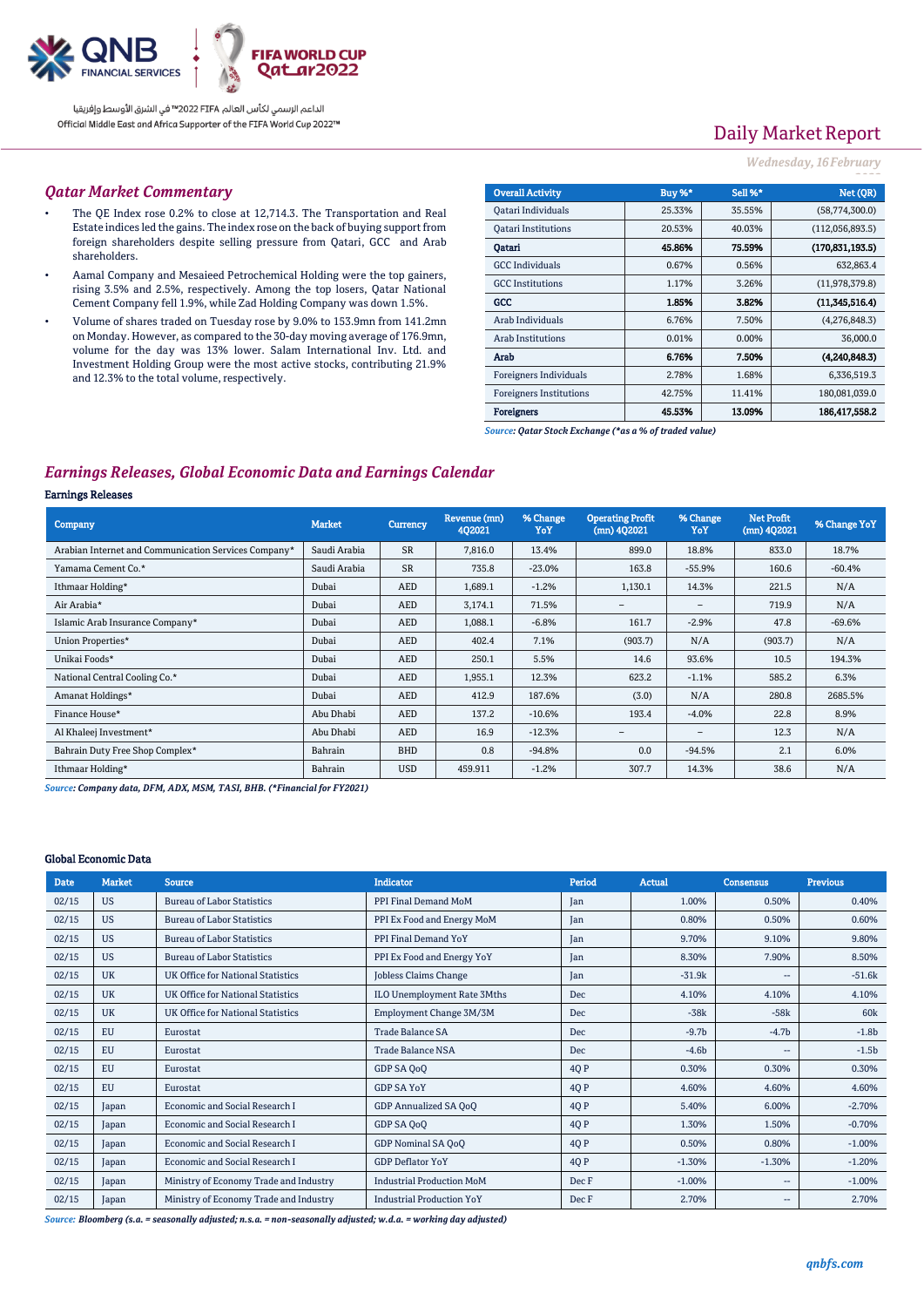

# Daily Market Report

### *Wednesday, 16February*

#### *Qatar Market Commentary*

- The QE Index rose 0.2% to close at 12,714.3. The Transportation and Real Estate indices led the gains. The index rose on the back of buying support from foreign shareholders despite selling pressure from Qatari, GCC and Arab shareholders.
- Aamal Company and Mesaieed Petrochemical Holding were the top gainers, rising 3.5% and 2.5%, respectively. Among the top losers, Qatar National Cement Company fell 1.9%, while Zad Holding Company was down 1.5%.
- Volume of shares traded on Tuesday rose by 9.0% to 153.9mn from 141.2mn on Monday. However, as compared to the 30-day moving average of 176.9mn, volume for the day was 13% lower. Salam International Inv. Ltd. and Investment Holding Group were the most active stocks, contributing 21.9% and 12.3% to the total volume, respectively.

| <b>Overall Activity</b>        | Buy %* | Sell %*  | Net (QR)          |
|--------------------------------|--------|----------|-------------------|
| Qatari Individuals             | 25.33% | 35.55%   | (58,774,300.0)    |
| <b>Oatari Institutions</b>     | 20.53% | 40.03%   | (112,056,893.5)   |
| Oatari                         | 45.86% | 75.59%   | (170, 831, 193.5) |
| <b>GCC</b> Individuals         | 0.67%  | 0.56%    | 632,863.4         |
| <b>GCC</b> Institutions        | 1.17%  | 3.26%    | (11,978,379.8)    |
| GCC                            | 1.85%  | 3.82%    | (11.345.516.4)    |
| Arab Individuals               | 6.76%  | 7.50%    | (4,276,848.3)     |
| <b>Arab Institutions</b>       | 0.01%  | $0.00\%$ | 36,000.0          |
| Arab                           | 6.76%  | 7.50%    | (4.240.848.3)     |
| Foreigners Individuals         | 2.78%  | 1.68%    | 6,336,519.3       |
| <b>Foreigners Institutions</b> | 42.75% | 11.41%   | 180,081,039.0     |
| <b>Foreigners</b>              | 45.53% | 13.09%   | 186,417,558.2     |

*Source: Qatar Stock Exchange (\*as a % of traded value)*

## *Earnings Releases, Global Economic Data and Earnings Calendar*

### Earnings Releases

| Company                                              | <b>Market</b> | Currency   | Revenue (mn)<br>402021 | % Change<br>YoY | <b>Operating Profit</b><br>$(mn)$ 402021 | % Change<br>YoY          | <b>Net Profit</b><br>$(mn)$ 402021 | % Change YoY |
|------------------------------------------------------|---------------|------------|------------------------|-----------------|------------------------------------------|--------------------------|------------------------------------|--------------|
| Arabian Internet and Communication Services Company* | Saudi Arabia  | <b>SR</b>  | 7,816.0                | 13.4%           | 899.0                                    | 18.8%                    | 833.0                              | 18.7%        |
| Yamama Cement Co.*                                   | Saudi Arabia  | <b>SR</b>  | 735.8                  | $-23.0%$        | 163.8                                    | $-55.9%$                 | 160.6                              | $-60.4%$     |
| Ithmaar Holding*                                     | Dubai         | <b>AED</b> | 1,689.1                | $-1.2%$         | 1,130.1                                  | 14.3%                    | 221.5                              | N/A          |
| Air Arabia*                                          | Dubai         | <b>AED</b> | 3,174.1                | 71.5%           | $\qquad \qquad =$                        | $\overline{\phantom{a}}$ | 719.9                              | N/A          |
| Islamic Arab Insurance Company*                      | Dubai         | <b>AED</b> | 1,088.1                | $-6.8%$         | 161.7                                    | $-2.9%$                  | 47.8                               | $-69.6%$     |
| Union Properties*                                    | Dubai         | <b>AED</b> | 402.4                  | 7.1%            | (903.7)                                  | N/A                      | (903.7)                            | N/A          |
| Unikai Foods*                                        | Dubai         | <b>AED</b> | 250.1                  | 5.5%            | 14.6                                     | 93.6%                    | 10.5                               | 194.3%       |
| National Central Cooling Co.*                        | Dubai         | <b>AED</b> | 1,955.1                | 12.3%           | 623.2                                    | $-1.1%$                  | 585.2                              | 6.3%         |
| Amanat Holdings*                                     | Dubai         | <b>AED</b> | 412.9                  | 187.6%          | (3.0)                                    | N/A                      | 280.8                              | 2685.5%      |
| Finance House*                                       | Abu Dhabi     | <b>AED</b> | 137.2                  | $-10.6%$        | 193.4                                    | $-4.0%$                  | 22.8                               | 8.9%         |
| Al Khaleej Investment*                               | Abu Dhabi     | <b>AED</b> | 16.9                   | $-12.3%$        | $\overline{\phantom{a}}$                 | $\qquad \qquad -$        | 12.3                               | N/A          |
| Bahrain Duty Free Shop Complex*                      | Bahrain       | <b>BHD</b> | 0.8                    | $-94.8%$        | 0.0                                      | $-94.5%$                 | 2.1                                | 6.0%         |
| Ithmaar Holding*                                     | Bahrain       | <b>USD</b> | 459.911                | $-1.2%$         | 307.7                                    | 14.3%                    | 38.6                               | N/A          |

*Source: Company data, DFM, ADX, MSM, TASI, BHB. (\*Financial for FY2021)*

### Global Economic Data

| <b>Date</b> | <b>Market</b> | <b>Source</b>                          | <b>Indicator</b>                 | Period | Actual   | <b>Consensus</b>         | <b>Previous</b> |
|-------------|---------------|----------------------------------------|----------------------------------|--------|----------|--------------------------|-----------------|
| 02/15       | <b>US</b>     | <b>Bureau of Labor Statistics</b>      | PPI Final Demand MoM             | Jan    | 1.00%    | 0.50%                    | 0.40%           |
| 02/15       | <b>US</b>     | <b>Bureau of Labor Statistics</b>      | PPI Ex Food and Energy MoM       | Jan    | 0.80%    | 0.50%                    | 0.60%           |
| 02/15       | <b>US</b>     | <b>Bureau of Labor Statistics</b>      | PPI Final Demand YoY             | Jan    | 9.70%    | 9.10%                    | 9.80%           |
| 02/15       | <b>US</b>     | <b>Bureau of Labor Statistics</b>      | PPI Ex Food and Energy YoY       | Jan    | 8.30%    | 7.90%                    | 8.50%           |
| 02/15       | <b>UK</b>     | UK Office for National Statistics      | <b>Jobless Claims Change</b>     | Jan    | $-31.9k$ | $\overline{\phantom{a}}$ | $-51.6k$        |
| 02/15       | <b>UK</b>     | UK Office for National Statistics      | ILO Unemployment Rate 3Mths      | Dec    | 4.10%    | 4.10%                    | 4.10%           |
| 02/15       | <b>UK</b>     | UK Office for National Statistics      | Employment Change 3M/3M          | Dec    | $-38k$   | $-58k$                   | 60 <sub>k</sub> |
| 02/15       | EU            | Eurostat                               | <b>Trade Balance SA</b>          | Dec    | $-9.7b$  | $-4.7b$                  | $-1.8b$         |
| 02/15       | EU            | Eurostat                               | <b>Trade Balance NSA</b>         | Dec    | $-4.6b$  | $\overline{\phantom{a}}$ | $-1.5b$         |
| 02/15       | EU            | Eurostat                               | GDP SA QoQ                       | 4Q P   | 0.30%    | 0.30%                    | 0.30%           |
| 02/15       | EU            | Eurostat                               | <b>GDP SA YoY</b>                | 4Q P   | 4.60%    | 4.60%                    | 4.60%           |
| 02/15       | Japan         | Economic and Social Research I         | GDP Annualized SA OoO            | 4Q P   | 5.40%    | 6.00%                    | $-2.70%$        |
| 02/15       | Japan         | <b>Economic and Social Research I</b>  | GDP SA QoQ                       | 4Q P   | 1.30%    | 1.50%                    | $-0.70%$        |
| 02/15       | Japan         | Economic and Social Research I         | GDP Nominal SA QoQ               | 4Q P   | 0.50%    | 0.80%                    | $-1.00%$        |
| 02/15       | Japan         | <b>Economic and Social Research I</b>  | <b>GDP Deflator YoY</b>          | 4Q P   | $-1.30%$ | $-1.30%$                 | $-1.20%$        |
| 02/15       | Japan         | Ministry of Economy Trade and Industry | <b>Industrial Production MoM</b> | Dec F  | $-1.00%$ | --                       | $-1.00%$        |
| 02/15       | Japan         | Ministry of Economy Trade and Industry | <b>Industrial Production YoY</b> | Dec F  | 2.70%    | $\overline{\phantom{a}}$ | 2.70%           |

*Source: Bloomberg (s.a. = seasonally adjusted; n.s.a. = non-seasonally adjusted; w.d.a. = working day adjusted)*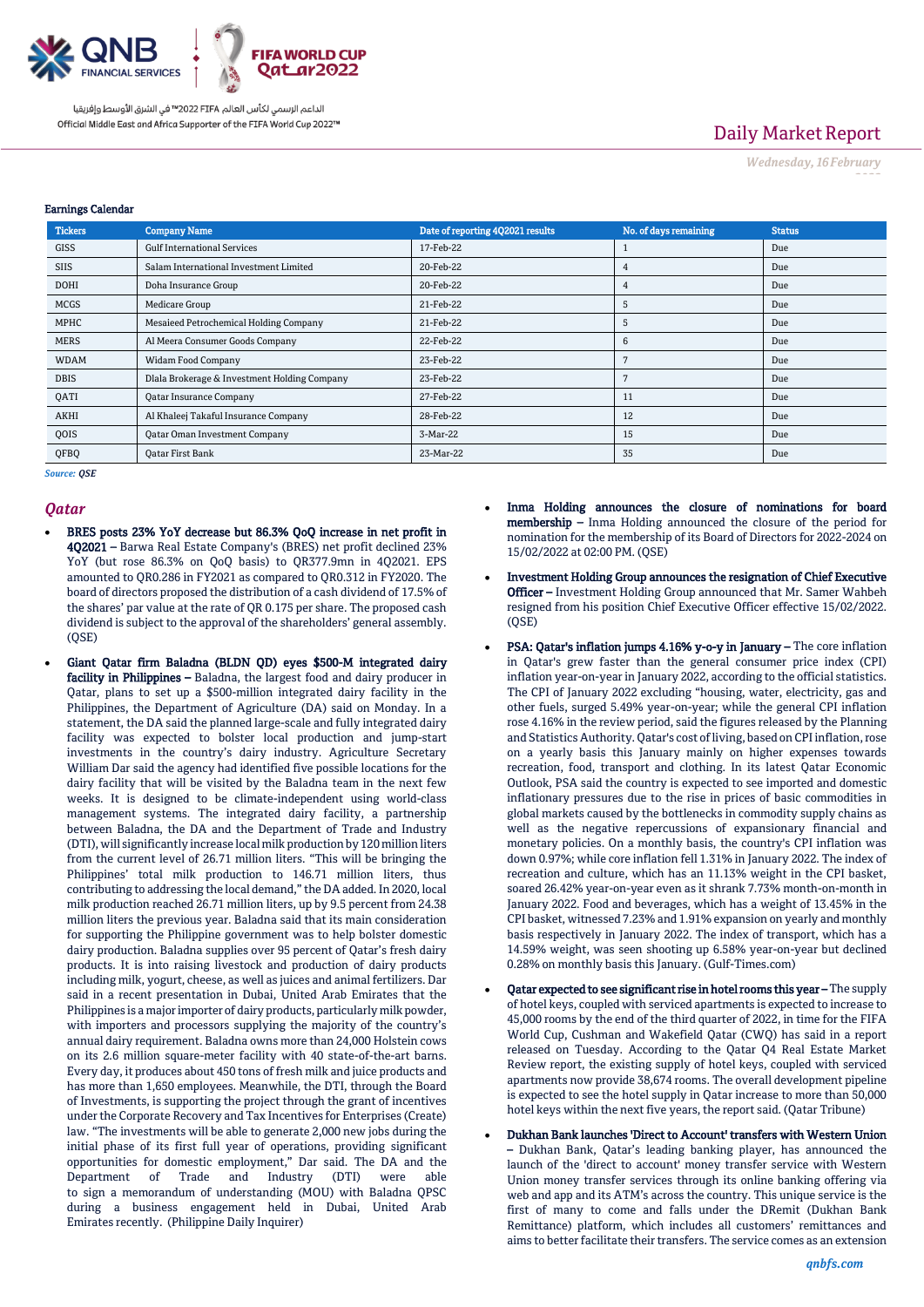

# Daily Market Report

*Wednesday, 16February*

*2022*

#### Earnings Calendar

| <b>Tickers</b> | <b>Company Name</b>                          | Date of reporting 4Q2021 results | No. of days remaining | <b>Status</b> |
|----------------|----------------------------------------------|----------------------------------|-----------------------|---------------|
| <b>GISS</b>    | <b>Gulf International Services</b>           | 17-Feb-22                        |                       | Due           |
| <b>SIIS</b>    | Salam International Investment Limited       | 20-Feb-22                        | 4                     | Due           |
| <b>DOHI</b>    | Doha Insurance Group                         | 20-Feb-22                        | 4                     | Due           |
| <b>MCGS</b>    | Medicare Group                               | 21-Feb-22                        | 5                     | Due           |
| MPHC           | Mesaieed Petrochemical Holding Company       | 21-Feb-22                        | 5                     | Due           |
| <b>MERS</b>    | Al Meera Consumer Goods Company              | 22-Feb-22                        | 6                     | Due           |
| <b>WDAM</b>    | <b>Widam Food Company</b>                    | 23-Feb-22                        |                       | Due           |
| <b>DBIS</b>    | Dlala Brokerage & Investment Holding Company | 23-Feb-22                        |                       | Due           |
| QATI           | Qatar Insurance Company                      | 27-Feb-22                        | 11                    | Due           |
| AKHI           | Al Khaleej Takaful Insurance Company         | 28-Feb-22                        | 12                    | Due           |
| QOIS           | <b>Qatar Oman Investment Company</b>         | 3-Mar-22                         | 15                    | Due           |
| QFBQ           | <b>Oatar First Bank</b>                      | 23-Mar-22                        | 35                    | Due           |

*Source: QSE*

#### *Qatar*

- BRES posts 23% YoY decrease but 86.3% QoQ increase in net profit in 4Q2021 – Barwa Real Estate Company's (BRES) net profit declined 23% YoY (but rose 86.3% on QoQ basis) to QR377.9mn in 4Q2021. EPS amounted to QR0.286 in FY2021 as compared to QR0.312 in FY2020. The board of directors proposed the distribution of a cash dividend of 17.5% of the shares' par value at the rate of QR 0.175 per share. The proposed cash dividend is subject to the approval of the shareholders' general assembly. (QSE)
- Giant Qatar firm Baladna (BLDN QD) eyes \$500-M integrated dairy facility in Philippines - Baladna, the largest food and dairy producer in Qatar, plans to set up a \$500-million integrated dairy facility in the Philippines, the Department of Agriculture (DA) said on Monday. In a statement, the DA said the planned large-scale and fully integrated dairy facility was expected to bolster local production and jump-start investments in the country's dairy industry. Agriculture Secretary William Dar said the agency had identified five possible locations for the dairy facility that will be visited by the Baladna team in the next few weeks. It is designed to be climate-independent using world-class management systems. The integrated dairy facility, a partnership between Baladna, the DA and the Department of Trade and Industry (DTI), will significantly increase local milk production by 120 million liters from the current level of 26.71 million liters. "This will be bringing the Philippines' total milk production to 146.71 million liters, thus contributing to addressing the local demand," the DA added. In 2020, local milk production reached 26.71 million liters, up by 9.5 percent from 24.38 million liters the previous year. Baladna said that its main consideration for supporting the Philippine government was to help bolster domestic dairy production. Baladna supplies over 95 percent of Qatar's fresh dairy products. It is into raising livestock and production of dairy products including milk, yogurt, cheese, as well as juices and animal fertilizers. Dar said in a recent presentation in Dubai, United Arab Emirates that the Philippines is a major importer of dairy products, particularly milk powder, with importers and processors supplying the majority of the country's annual dairy requirement. Baladna owns more than 24,000 Holstein cows on its 2.6 million square-meter facility with 40 state-of-the-art barns. Every day, it produces about 450 tons of fresh milk and juice products and has more than 1,650 employees. Meanwhile, the DTI, through the Board of Investments, is supporting the project through the grant of incentives under the Corporate Recovery and Tax Incentives for Enterprises (Create) law. "The investments will be able to generate 2,000 new jobs during the initial phase of its first full year of operations, providing significant opportunities for domestic employment," Dar said. The DA and the Department of Trade and Industry (DTI) were able to sign a memorandum of understanding (MOU) with Baladna QPSC during a business engagement held in Dubai, United Arab Emirates recently. (Philippine Daily Inquirer)
- Inma Holding announces the closure of nominations for board membership – Inma Holding announced the closure of the period for nomination for the membership of its Board of Directors for 2022-2024 on 15/02/2022 at 02:00 PM. (QSE)
- Investment Holding Group announces the resignation of Chief Executive Officer – Investment Holding Group announced that Mr. Samer Wahbeh resigned from his position Chief Executive Officer effective 15/02/2022. (QSE)
- PSA: Qatar's inflation jumps 4.16% y-o-y in January The core inflation in Qatar's grew faster than the general consumer price index (CPI) inflation year-on-year in January 2022, according to the official statistics. The CPI of January 2022 excluding "housing, water, electricity, gas and other fuels, surged 5.49% year-on-year; while the general CPI inflation rose 4.16% in the review period, said the figures released by the Planning and Statistics Authority. Qatar's cost of living, based on CPI inflation, rose on a yearly basis this January mainly on higher expenses towards recreation, food, transport and clothing. In its latest Qatar Economic Outlook, PSA said the country is expected to see imported and domestic inflationary pressures due to the rise in prices of basic commodities in global markets caused by the bottlenecks in commodity supply chains as well as the negative repercussions of expansionary financial and monetary policies. On a monthly basis, the country's CPI inflation was down 0.97%; while core inflation fell 1.31% in January 2022. The index of recreation and culture, which has an 11.13% weight in the CPI basket, soared 26.42% year-on-year even as it shrank 7.73% month-on-month in January 2022. Food and beverages, which has a weight of 13.45% in the CPI basket, witnessed 7.23% and 1.91% expansion on yearly and monthly basis respectively in January 2022. The index of transport, which has a 14.59% weight, was seen shooting up 6.58% year-on-year but declined 0.28% on monthly basis this January. (Gulf-Times.com)
- Qatar expected to see significant rise in hotel rooms this year The supply of hotel keys, coupled with serviced apartments is expected to increase to 45,000 rooms by the end of the third quarter of 2022, in time for the FIFA World Cup, Cushman and Wakefield Qatar (CWQ) has said in a report released on Tuesday. According to the Qatar Q4 Real Estate Market Review report, the existing supply of hotel keys, coupled with serviced apartments now provide 38,674 rooms. The overall development pipeline is expected to see the hotel supply in Qatar increase to more than 50,000 hotel keys within the next five years, the report said. (Qatar Tribune)
- Dukhan Bank launches 'Direct to Account' transfers with Western Union – Dukhan Bank, Qatar's leading banking player, has announced the launch of the 'direct to account' money transfer service with Western Union money transfer services through its online banking offering via web and app and its ATM's across the country. This unique service is the first of many to come and falls under the DRemit (Dukhan Bank Remittance) platform, which includes all customers' remittances and aims to better facilitate their transfers. The service comes as an extension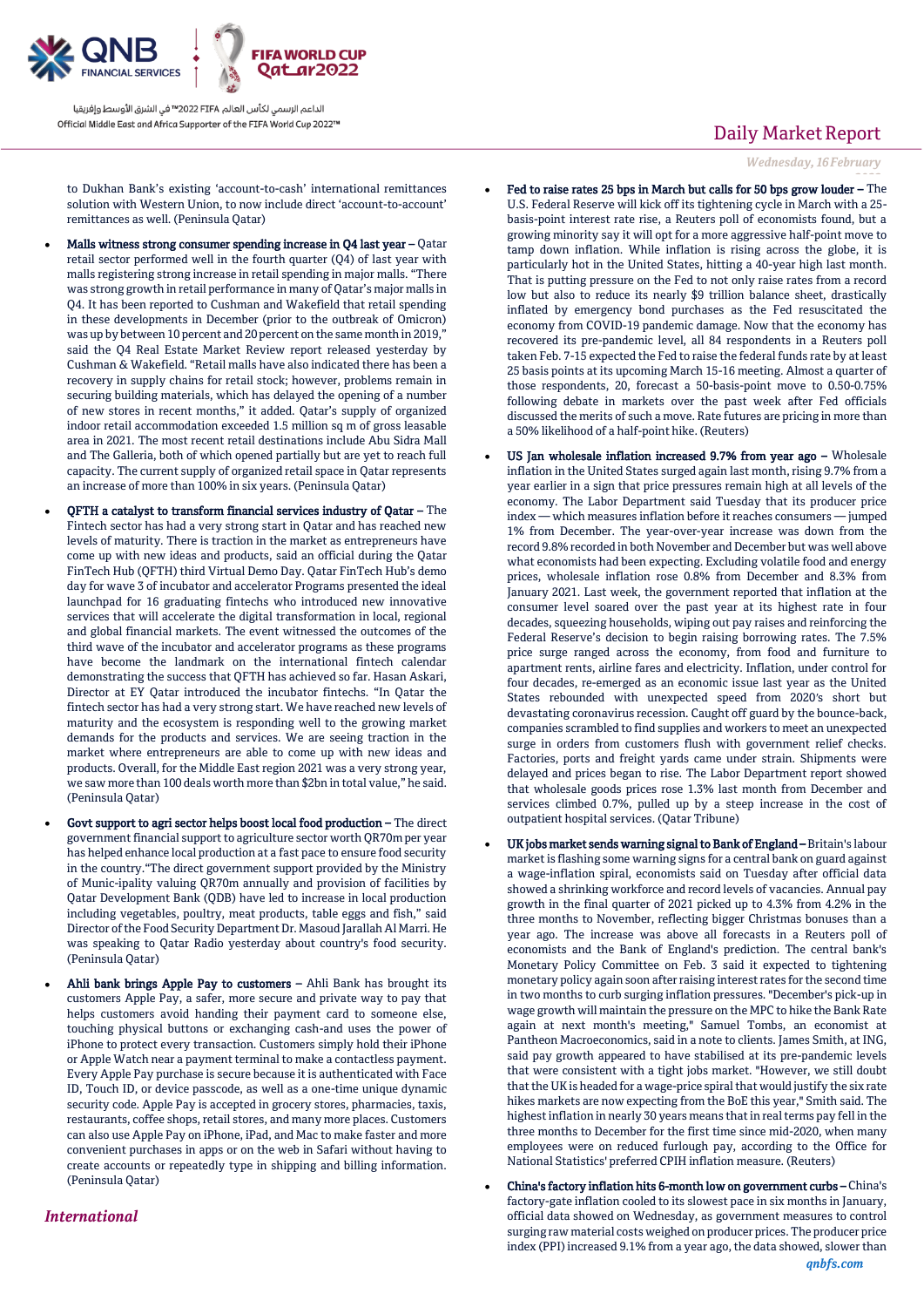

to Dukhan Bank's existing 'account-to-cash' international remittances solution with Western Union, to now include direct 'account-to-account' remittances as well. (Peninsula Qatar)

- Malls witness strong consumer spending increase in Q4 last year Qatar retail sector performed well in the fourth quarter (Q4) of last year with malls registering strong increase in retail spending in major malls. "There was strong growth in retail performance in many of Qatar's major malls in Q4. It has been reported to Cushman and Wakefield that retail spending in these developments in December (prior to the outbreak of Omicron) was up by between 10 percent and 20 percent on the same month in 2019," said the Q4 Real Estate Market Review report released yesterday by Cushman & Wakefield. "Retail malls have also indicated there has been a recovery in supply chains for retail stock; however, problems remain in securing building materials, which has delayed the opening of a number of new stores in recent months," it added. Qatar's supply of organized indoor retail accommodation exceeded 1.5 million sq m of gross leasable area in 2021. The most recent retail destinations include Abu Sidra Mall and The Galleria, both of which opened partially but are yet to reach full capacity. The current supply of organized retail space in Qatar represents an increase of more than 100% in six years. (Peninsula Qatar)
- QFTH a catalyst to transform financial services industry of Qatar The Fintech sector has had a very strong start in Qatar and has reached new levels of maturity. There is traction in the market as entrepreneurs have come up with new ideas and products, said an official during the Qatar FinTech Hub (QFTH) third Virtual Demo Day. Qatar FinTech Hub's demo day for wave 3 of incubator and accelerator Programs presented the ideal launchpad for 16 graduating fintechs who introduced new innovative services that will accelerate the digital transformation in local, regional and global financial markets. The event witnessed the outcomes of the third wave of the incubator and accelerator programs as these programs have become the landmark on the international fintech calendar demonstrating the success that QFTH has achieved so far. Hasan Askari, Director at EY Qatar introduced the incubator fintechs. "In Qatar the fintech sector has had a very strong start. We have reached new levels of maturity and the ecosystem is responding well to the growing market demands for the products and services. We are seeing traction in the market where entrepreneurs are able to come up with new ideas and products. Overall, for the Middle East region 2021 was a very strong year, we saw more than 100 deals worth more than \$2bn in total value," he said. (Peninsula Qatar)
- Govt support to agri sector helps boost local food production The direct government financial support to agriculture sector worth QR70m per year has helped enhance local production at a fast pace to ensure food security in the country."The direct government support provided by the Ministry of Munic-ipality valuing QR70m annually and provision of facilities by Qatar Development Bank (QDB) have led to increase in local production including vegetables, poultry, meat products, table eggs and fish," said Director of the Food Security Department Dr. Masoud Jarallah Al Marri. He was speaking to Qatar Radio yesterday about country's food security. (Peninsula Qatar)
	- Ahli bank brings Apple Pay to customers Ahli Bank has brought its customers Apple Pay, a safer, more secure and private way to pay that helps customers avoid handing their payment card to someone else, touching physical buttons or exchanging cash-and uses the power of iPhone to protect every transaction. Customers simply hold their iPhone or Apple Watch near a payment terminal to make a contactless payment. Every Apple Pay purchase is secure because it is authenticated with Face ID, Touch ID, or device passcode, as well as a one-time unique dynamic security code. Apple Pay is accepted in grocery stores, pharmacies, taxis, restaurants, coffee shops, retail stores, and many more places. Customers can also use Apple Pay on iPhone, iPad, and Mac to make faster and more convenient purchases in apps or on the web in Safari without having to create accounts or repeatedly type in shipping and billing information. (Peninsula Qatar)

### *International*

# Daily Market Report

*Wednesday, 16February*

- *2022* Fed to raise rates 25 bps in March but calls for 50 bps grow louder The U.S. Federal Reserve will kick off its tightening cycle in March with a 25 basis-point interest rate rise, a Reuters poll of economists found, but a growing minority say it will opt for a more aggressive half-point move to tamp down inflation. While inflation is rising across the globe, it is particularly hot in the United States, hitting a 40-year high last month. That is putting pressure on the Fed to not only raise rates from a record low but also to reduce its nearly \$9 trillion balance sheet, drastically inflated by emergency bond purchases as the Fed resuscitated the economy from COVID-19 pandemic damage. Now that the economy has recovered its pre-pandemic level, all 84 respondents in a Reuters poll taken Feb. 7-15 expected the Fed to raise the federal funds rate by at least 25 basis points at its upcoming March 15-16 meeting. Almost a quarter of those respondents, 20, forecast a 50-basis-point move to 0.50-0.75% following debate in markets over the past week after Fed officials discussed the merits of such a move. Rate futures are pricing in more than a 50% likelihood of a half-point hike. (Reuters)
- US Jan wholesale inflation increased 9.7% from year ago Wholesale inflation in the United States surged again last month, rising 9.7% from a year earlier in a sign that price pressures remain high at all levels of the economy. The Labor Department said Tuesday that its producer price index — which measures inflation before it reaches consumers — jumped 1% from December. The year-over-year increase was down from the record 9.8% recorded in both November and December but was well above what economists had been expecting. Excluding volatile food and energy prices, wholesale inflation rose 0.8% from December and 8.3% from January 2021. Last week, the government reported that inflation at the consumer level soared over the past year at its highest rate in four decades, squeezing households, wiping out pay raises and reinforcing the Federal Reserve's decision to begin raising borrowing rates. The 7.5% price surge ranged across the economy, from food and furniture to apartment rents, airline fares and electricity. Inflation, under control for four decades, re-emerged as an economic issue last year as the United States rebounded with unexpected speed from 2020′s short but devastating coronavirus recession. Caught off guard by the bounce-back, companies scrambled to find supplies and workers to meet an unexpected surge in orders from customers flush with government relief checks. Factories, ports and freight yards came under strain. Shipments were delayed and prices began to rise. The Labor Department report showed that wholesale goods prices rose 1.3% last month from December and services climbed 0.7%, pulled up by a steep increase in the cost of outpatient hospital services. (Qatar Tribune)
- UK jobs market sends warning signal to Bank of England Britain's labour market is flashing some warning signs for a central bank on guard against a wage-inflation spiral, economists said on Tuesday after official data showed a shrinking workforce and record levels of vacancies. Annual pay growth in the final quarter of 2021 picked up to 4.3% from 4.2% in the three months to November, reflecting bigger Christmas bonuses than a year ago. The increase was above all forecasts in a Reuters poll of economists and the Bank of England's prediction. The central bank's Monetary Policy Committee on Feb. 3 said it expected to tightening monetary policy again soon after raising interest rates for the second time in two months to curb surging inflation pressures. "December's pick-up in wage growth will maintain the pressure on the MPC to hike the Bank Rate again at next month's meeting," Samuel Tombs, an economist at Pantheon Macroeconomics, said in a note to clients. James Smith, at ING, said pay growth appeared to have stabilised at its pre-pandemic levels that were consistent with a tight jobs market. "However, we still doubt that the UK is headed for a wage-price spiral that would justify the six rate hikes markets are now expecting from the BoE this year," Smith said. The highest inflation in nearly 30 years means that in real terms pay fell in the three months to December for the first time since mid-2020, when many employees were on reduced furlough pay, according to the Office for National Statistics' preferred CPIH inflation measure. (Reuters)
- China's factory inflation hits 6-month low on government curbs China's factory-gate inflation cooled to its slowest pace in six months in January, official data showed on Wednesday, as government measures to control surging raw material costs weighed on producer prices. The producer price index (PPI) increased 9.1% from a year ago, the data showed, slower than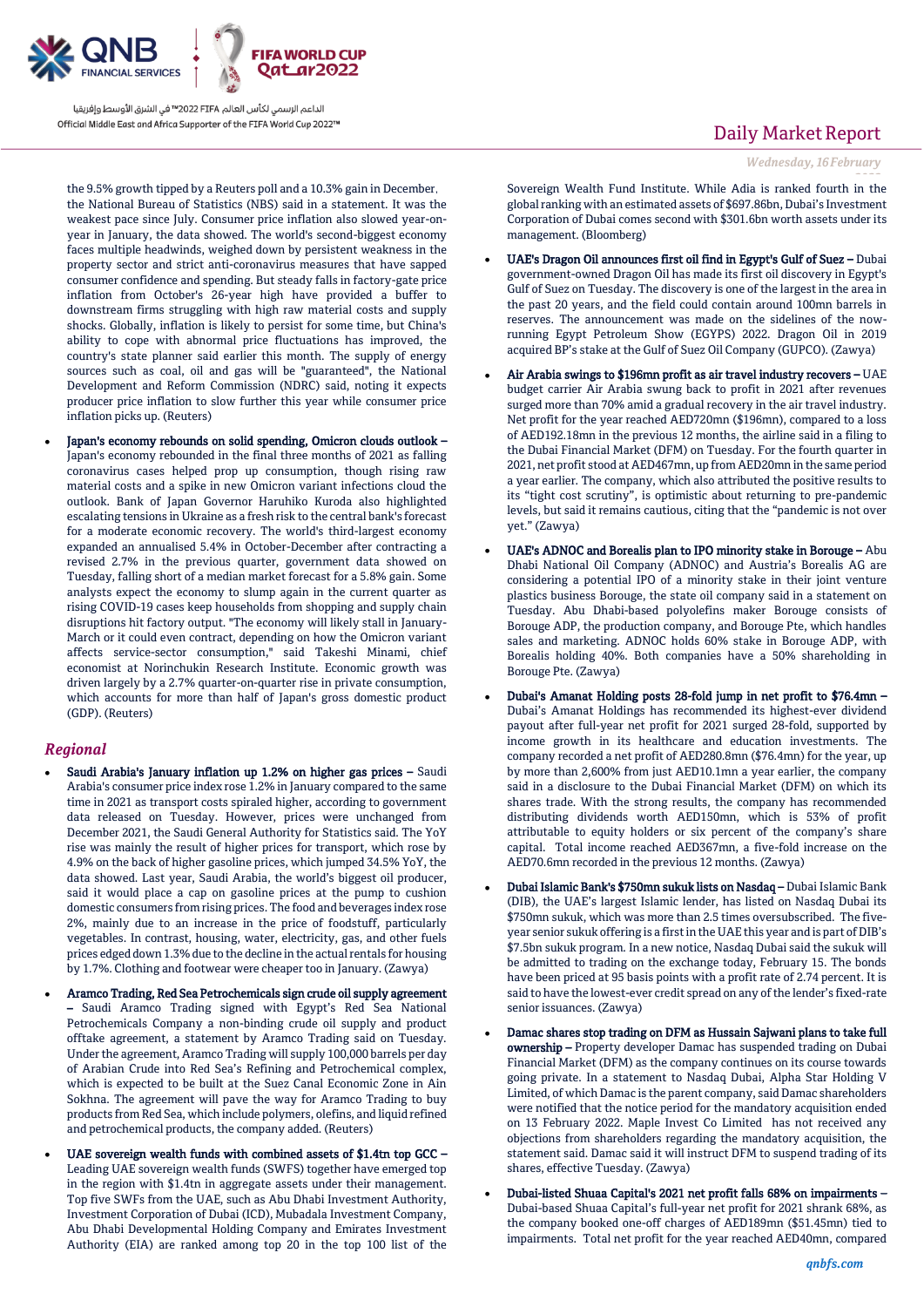

the 9.5% growth tipped by a Reuters poll and a 10.3% gain in December, the National Bureau of Statistics (NBS) said in a statement. It was the weakest pace since July. Consumer price inflation also slowed year-onyear in January, the data showed. The world's second-biggest economy faces multiple headwinds, weighed down by persistent weakness in the property sector and strict anti-coronavirus measures that have sapped consumer confidence and spending. But steady falls in factory-gate price inflation from October's 26-year high have provided a buffer to downstream firms struggling with high raw material costs and supply shocks. Globally, inflation is likely to persist for some time, but China's ability to cope with abnormal price fluctuations has improved, the country's state planner said earlier this month. The supply of energy sources such as coal, oil and gas will be "guaranteed", the National Development and Reform Commission (NDRC) said, noting it expects producer price inflation to slow further this year while consumer price inflation picks up. (Reuters)

 Japan's economy rebounds on solid spending, Omicron clouds outlook – Japan's economy rebounded in the final three months of 2021 as falling coronavirus cases helped prop up consumption, though rising raw material costs and a spike in new Omicron variant infections cloud the outlook. Bank of Japan Governor Haruhiko Kuroda also highlighted escalating tensions in Ukraine as a fresh risk to the central bank's forecast for a moderate economic recovery. The world's third-largest economy expanded an annualised 5.4% in October-December after contracting a revised 2.7% in the previous quarter, government data showed on Tuesday, falling short of a median market forecast for a 5.8% gain. Some analysts expect the economy to slump again in the current quarter as rising COVID-19 cases keep households from shopping and supply chain disruptions hit factory output. "The economy will likely stall in January-March or it could even contract, depending on how the Omicron variant affects service-sector consumption," said Takeshi Minami, chief economist at Norinchukin Research Institute. Economic growth was driven largely by a 2.7% quarter-on-quarter rise in private consumption, which accounts for more than half of Japan's gross domestic product (GDP). (Reuters)

### *Regional*

- Saudi Arabia's January inflation up 1.2% on higher gas prices Saudi Arabia's consumer price index rose 1.2% in January compared to the same time in 2021 as transport costs spiraled higher, according to government data released on Tuesday. However, prices were unchanged from December 2021, the Saudi General Authority for Statistics said. The YoY rise was mainly the result of higher prices for transport, which rose by 4.9% on the back of higher gasoline prices, which jumped 34.5% YoY, the data showed. Last year, Saudi Arabia, the world's biggest oil producer, said it would place a cap on gasoline prices at the pump to cushion domestic consumers from rising prices. The food and beverages index rose 2%, mainly due to an increase in the price of foodstuff, particularly vegetables. In contrast, housing, water, electricity, gas, and other fuels prices edged down 1.3% due to the decline in the actual rentals for housing by 1.7%. Clothing and footwear were cheaper too in January. (Zawya)
- Aramco Trading, Red Sea Petrochemicals sign crude oil supply agreement – Saudi Aramco Trading signed with Egypt's Red Sea National Petrochemicals Company a non-binding crude oil supply and product offtake agreement, a statement by Aramco Trading said on Tuesday. Under the agreement, Aramco Trading will supply 100,000 barrels per day of Arabian Crude into Red Sea's Refining and Petrochemical complex, which is expected to be built at the Suez Canal Economic Zone in Ain Sokhna. The agreement will pave the way for Aramco Trading to buy products from Red Sea, which include polymers, olefins, and liquid refined and petrochemical products, the company added. (Reuters)
- UAE sovereign wealth funds with combined assets of \$1.4tn top GCC Leading UAE sovereign wealth funds (SWFS) together have emerged top in the region with \$1.4tn in aggregate assets under their management. Top five SWFs from the UAE, such as Abu Dhabi Investment Authority, Investment Corporation of Dubai (ICD), Mubadala Investment Company, Abu Dhabi Developmental Holding Company and Emirates Investment Authority (EIA) are ranked among top 20 in the top 100 list of the

### Daily Market Report

*Wednesday, 16February*

*2022* Sovereign Wealth Fund Institute. While Adia is ranked fourth in the global ranking with an estimated assets of \$697.86bn, Dubai's Investment Corporation of Dubai comes second with \$301.6bn worth assets under its management. (Bloomberg)

- UAE's Dragon Oil announces first oil find in Egypt's Gulf of Suez Dubai government-owned Dragon Oil has made its first oil discovery in Egypt's Gulf of Suez on Tuesday. The discovery is one of the largest in the area in the past 20 years, and the field could contain around 100mn barrels in reserves. The announcement was made on the sidelines of the nowrunning Egypt Petroleum Show (EGYPS) 2022. Dragon Oil in 2019 acquired BP's stake at the Gulf of Suez Oil Company (GUPCO). (Zawya)
- Air Arabia swings to \$196mn profit as air travel industry recovers UAE budget carrier Air Arabia swung back to profit in 2021 after revenues surged more than 70% amid a gradual recovery in the air travel industry. Net profit for the year reached AED720mn (\$196mn), compared to a loss of AED192.18mn in the previous 12 months, the airline said in a filing to the Dubai Financial Market (DFM) on Tuesday. For the fourth quarter in 2021, net profit stood at AED467mn, up from AED20mn in the same period a year earlier. The company, which also attributed the positive results to its "tight cost scrutiny", is optimistic about returning to pre-pandemic levels, but said it remains cautious, citing that the "pandemic is not over yet." (Zawya)
- UAE's ADNOC and Borealis plan to IPO minority stake in Borouge Abu Dhabi National Oil Company (ADNOC) and Austria's Borealis AG are considering a potential IPO of a minority stake in their joint venture plastics business Borouge, the state oil company said in a statement on Tuesday. Abu Dhabi-based polyolefins maker Borouge consists of Borouge ADP, the production company, and Borouge Pte, which handles sales and marketing. ADNOC holds 60% stake in Borouge ADP, with Borealis holding 40%. Both companies have a 50% shareholding in Borouge Pte. (Zawya)
- Dubai's Amanat Holding posts 28-fold jump in net profit to \$76.4mn Dubai's Amanat Holdings has recommended its highest-ever dividend payout after full-year net profit for 2021 surged 28-fold, supported by income growth in its healthcare and education investments. The company recorded a net profit of AED280.8mn (\$76.4mn) for the year, up by more than 2,600% from just AED10.1mn a year earlier, the company said in a disclosure to the Dubai Financial Market (DFM) on which its shares trade. With the strong results, the company has recommended distributing dividends worth AED150mn, which is 53% of profit attributable to equity holders or six percent of the company's share capital. Total income reached AED367mn, a five-fold increase on the AED70.6mn recorded in the previous 12 months. (Zawya)
- Dubai Islamic Bank's \$750mn sukuk lists on Nasdaq Dubai Islamic Bank (DIB), the UAE's largest Islamic lender, has listed on Nasdaq Dubai its \$750mn sukuk, which was more than 2.5 times oversubscribed. The fiveyear senior sukuk offering is a first in the UAE this year and is part of DIB's \$7.5bn sukuk program. In a new notice, Nasdaq Dubai said the sukuk will be admitted to trading on the exchange today, February 15. The bonds have been priced at 95 basis points with a profit rate of 2.74 percent. It is said to have the lowest-ever credit spread on any of the lender's fixed-rate senior issuances. (Zawya)
- Damac shares stop trading on DFM as Hussain Sajwani plans to take full ownership - Property developer Damac has suspended trading on Dubai Financial Market (DFM) as the company continues on its course towards going private. In a statement to Nasdaq Dubai, Alpha Star Holding V Limited, of which Damac is the parent company, said Damac shareholders were notified that the notice period for the mandatory acquisition ended on 13 February 2022. Maple Invest Co Limited has not received any objections from shareholders regarding the mandatory acquisition, the statement said. Damac said it will instruct DFM to suspend trading of its shares, effective Tuesday. (Zawya)
- Dubai-listed Shuaa Capital's 2021 net profit falls 68% on impairments Dubai-based Shuaa Capital's full-year net profit for 2021 shrank 68%, as the company booked one-off charges of AED189mn (\$51.45mn) tied to impairments. Total net profit for the year reached AED40mn, compared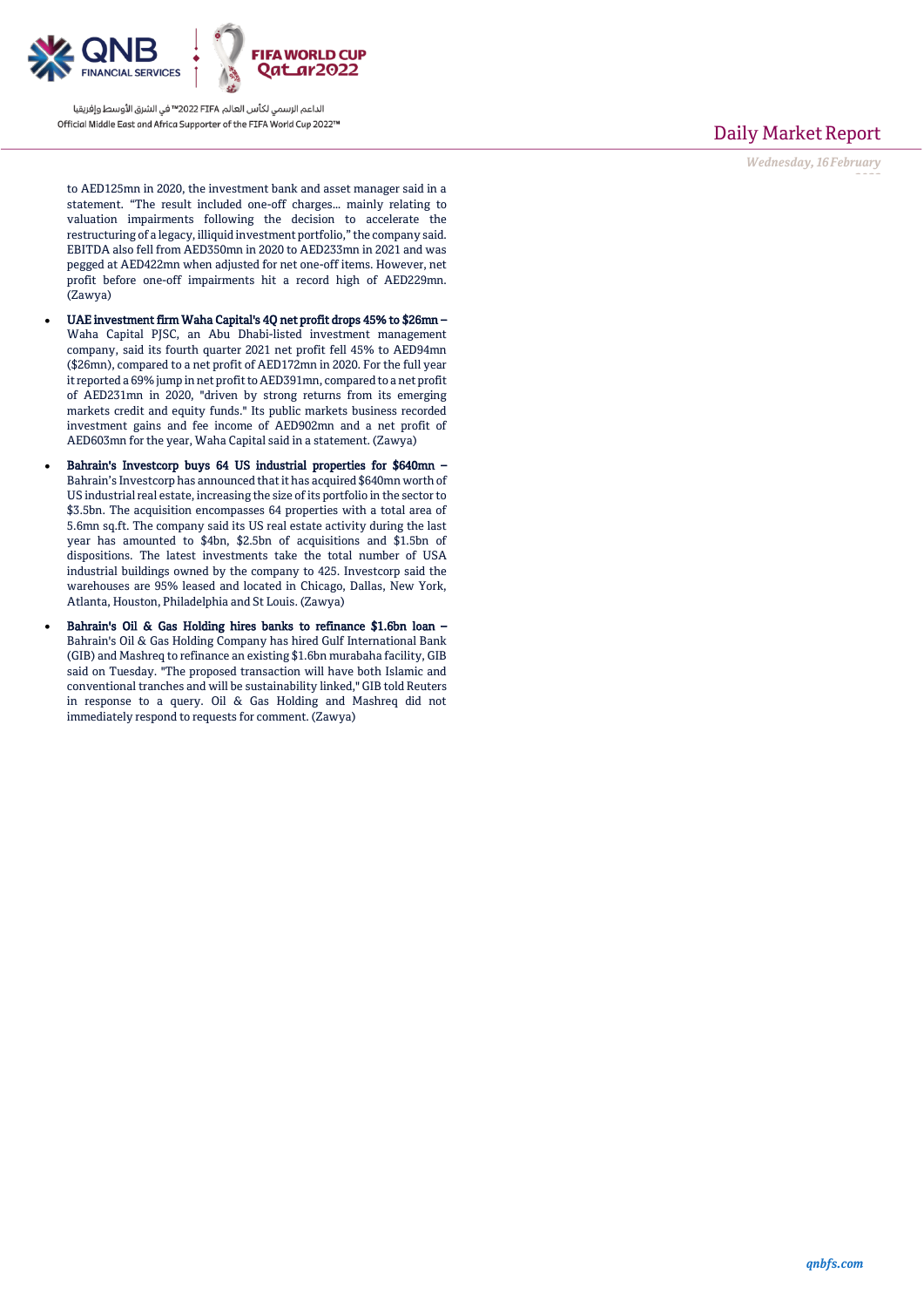

Daily Market Report

*Wednesday, 16February*

*2022*

to AED125mn in 2020, the investment bank and asset manager said in a statement. "The result included one-off charges… mainly relating to valuation impairments following the decision to accelerate the restructuring of a legacy, illiquid investment portfolio," the company said. EBITDA also fell from AED350mn in 2020 to AED233mn in 2021 and was pegged at AED422mn when adjusted for net one-off items. However, net profit before one-off impairments hit a record high of AED229mn. (Zawya)

- UAE investment firm Waha Capital's 4Q net profit drops 45% to \$26mn Waha Capital PJSC, an Abu Dhabi-listed investment management company, said its fourth quarter 2021 net profit fell 45% to AED94mn (\$26mn), compared to a net profit of AED172mn in 2020. For the full year it reported a 69% jump in net profit to AED391mn, compared to a net profit of AED231mn in 2020, "driven by strong returns from its emerging markets credit and equity funds." Its public markets business recorded investment gains and fee income of AED902mn and a net profit of AED603mn for the year, Waha Capital said in a statement. (Zawya)
- Bahrain's Investcorp buys 64 US industrial properties for \$640mn Bahrain's Investcorp has announced that it has acquired \$640mn worth of US industrial real estate, increasing the size of its portfolio in the sector to \$3.5bn. The acquisition encompasses 64 properties with a total area of 5.6mn sq.ft. The company said its US real estate activity during the last year has amounted to \$4bn, \$2.5bn of acquisitions and \$1.5bn of dispositions. The latest investments take the total number of USA industrial buildings owned by the company to 425. Investcorp said the warehouses are 95% leased and located in Chicago, Dallas, New York, Atlanta, Houston, Philadelphia and St Louis. (Zawya)
- Bahrain's Oil & Gas Holding hires banks to refinance \$1.6bn loan Bahrain's Oil & Gas Holding Company has hired Gulf International Bank (GIB) and Mashreq to refinance an existing \$1.6bn murabaha facility, GIB said on Tuesday. "The proposed transaction will have both Islamic and conventional tranches and will be sustainability linked," GIB told Reuters in response to a query. Oil & Gas Holding and Mashreq did not immediately respond to requests for comment. (Zawya)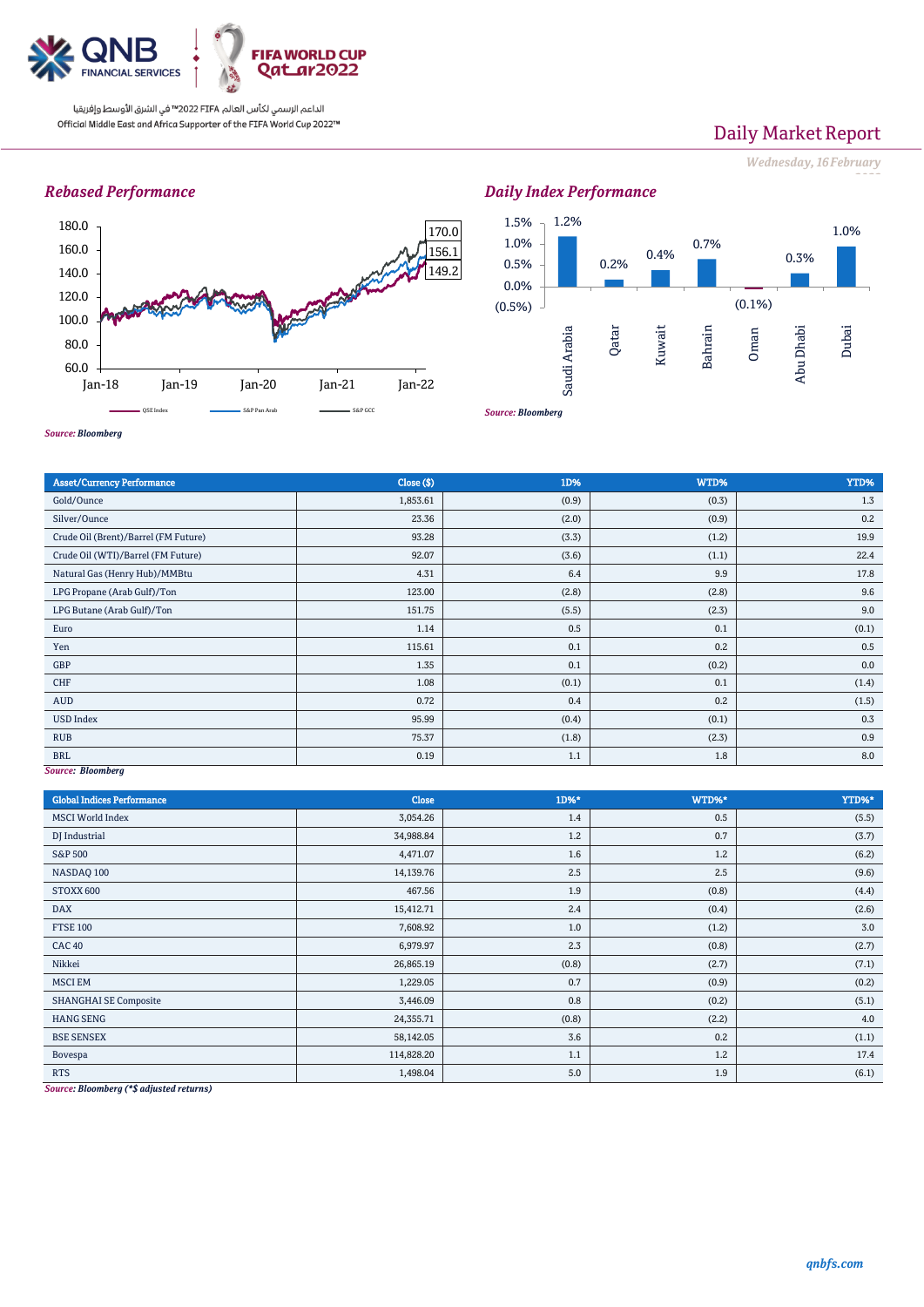

# Daily Market Report

*Wednesday, 16February*

*2022*

## *Rebased Performance*





*Source: Bloomberg*

| <b>Asset/Currency Performance</b>    | Close ( \$) | 1D%   | WTD%  | YTD%  |  |  |
|--------------------------------------|-------------|-------|-------|-------|--|--|
| Gold/Ounce                           | 1,853.61    | (0.9) | (0.3) | 1.3   |  |  |
| Silver/Ounce                         | 23.36       | (2.0) | (0.9) | 0.2   |  |  |
| Crude Oil (Brent)/Barrel (FM Future) | 93.28       | (3.3) | (1.2) | 19.9  |  |  |
| Crude Oil (WTI)/Barrel (FM Future)   | 92.07       | (3.6) | (1.1) | 22.4  |  |  |
| Natural Gas (Henry Hub)/MMBtu        | 4.31        | 6.4   | 9.9   | 17.8  |  |  |
| LPG Propane (Arab Gulf)/Ton          | 123.00      | (2.8) | (2.8) | 9.6   |  |  |
| LPG Butane (Arab Gulf)/Ton           | 151.75      | (5.5) | (2.3) | 9.0   |  |  |
| Euro                                 | 1.14        | 0.5   | 0.1   | (0.1) |  |  |
| Yen                                  | 115.61      | 0.1   | 0.2   | 0.5   |  |  |
| GBP                                  | 1.35        | 0.1   | (0.2) | 0.0   |  |  |
| CHF                                  | 1.08        | (0.1) | 0.1   | (1.4) |  |  |
| AUD                                  | 0.72        | 0.4   | 0.2   | (1.5) |  |  |
| <b>USD Index</b>                     | 95.99       | (0.4) | (0.1) | 0.3   |  |  |
| <b>RUB</b>                           | 75.37       | (1.8) | (2.3) | 0.9   |  |  |
| <b>BRL</b>                           | 0.19        | 1.1   | 1.8   | 8.0   |  |  |
| Source: Bloomberg                    |             |       |       |       |  |  |

*Source: Bloomberg*

| <b>Global Indices Performance</b> | Close      | 1D%*  | WTD%* | YTD%* |
|-----------------------------------|------------|-------|-------|-------|
| <b>MSCI</b> World Index           | 3,054.26   | 1.4   | 0.5   | (5.5) |
| DJ Industrial                     | 34,988.84  | 1.2   | 0.7   | (3.7) |
| <b>S&amp;P 500</b>                | 4,471.07   | 1.6   | 1.2   | (6.2) |
| NASDAQ 100                        | 14,139.76  | 2.5   | 2.5   | (9.6) |
| STOXX 600                         | 467.56     | 1.9   | (0.8) | (4.4) |
| <b>DAX</b>                        | 15,412.71  | 2.4   | (0.4) | (2.6) |
| <b>FTSE 100</b>                   | 7,608.92   | 1.0   | (1.2) | 3.0   |
| <b>CAC 40</b>                     | 6,979.97   | 2.3   | (0.8) | (2.7) |
| Nikkei                            | 26,865.19  | (0.8) | (2.7) | (7.1) |
| <b>MSCI EM</b>                    | 1,229.05   | 0.7   | (0.9) | (0.2) |
| <b>SHANGHAI SE Composite</b>      | 3,446.09   | 0.8   | (0.2) | (5.1) |
| <b>HANG SENG</b>                  | 24,355.71  | (0.8) | (2.2) | 4.0   |
| <b>BSE SENSEX</b>                 | 58,142.05  | 3.6   | 0.2   | (1.1) |
| Bovespa                           | 114,828.20 | 1.1   | 1.2   | 17.4  |
| <b>RTS</b>                        | 1,498.04   | 5.0   | 1.9   | (6.1) |

*Source: Bloomberg (\*\$ adjusted returns)*